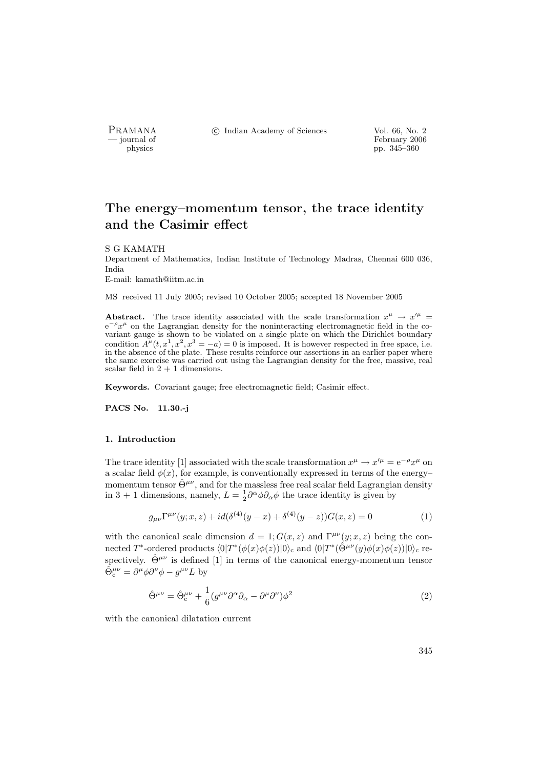PRAMANA <sup>C</sup> Indian Academy of Sciences Vol. 66, No. 2<br>
— journal of February 2006

physics<br>
and the settlement of February 2006<br>
pp. 345–360<br>
pp. 345–360 pp. 345–360

# The energy–momentum tensor, the trace identity and the Casimir effect

#### S G KAMATH

Department of Mathematics, Indian Institute of Technology Madras, Chennai 600 036, India E-mail: kamath@iitm.ac.in

MS received 11 July 2005; revised 10 October 2005; accepted 18 November 2005

**Abstract.** The trace identity associated with the scale transformation  $x^{\mu} \rightarrow x'^{\mu}$  $e^{-\rho}x^{\mu}$  on the Lagrangian density for the noninteracting electromagnetic field in the covariant gauge is shown to be violated on a single plate on which the Dirichlet boundary condition  $A^{\mu}(t, x^1, x^2, x^3 = -a) = 0$  is imposed. It is however respected in free space, i.e. in the absence of the plate. These results reinforce our assertions in an earlier paper where the same exercise was carried out using the Lagrangian density for the free, massive, real scalar field in  $2 + 1$  dimensions.

Keywords. Covariant gauge; free electromagnetic field; Casimir effect.

PACS No. 11.30.-j

#### 1. Introduction

The trace identity [1] associated with the scale transformation  $x^{\mu} \to x'^{\mu} = e^{-\rho} x^{\mu}$  on a scalar field  $\phi(x)$ , for example, is conventionally expressed in terms of the energymomentum tensor  $\hat{\Theta}^{\mu\nu}$ , and for the massless free real scalar field Lagrangian density in 3 + 1 dimensions, namely,  $L = \frac{1}{2} \partial^{\alpha} \phi \partial_{\alpha} \phi$  the trace identity is given by

$$
g_{\mu\nu}\Gamma^{\mu\nu}(y;x,z) + id(\delta^{(4)}(y-x) + \delta^{(4)}(y-z))G(x,z) = 0
$$
\n(1)

with the canonical scale dimension  $d = 1$ ;  $G(x, z)$  and  $\Gamma^{\mu\nu}(y; x, z)$  being the connected T<sup>\*</sup>-ordered products  $\langle 0|T^*(\phi(x)\phi(z))|0\rangle_c$  and  $\langle 0|T^*(\hat{\Theta}^{\mu\nu}(y)\phi(x)\phi(z))|0\rangle_c$  respectively.  $\hat{\Theta}^{\mu\nu}$  is defined [1] in terms of the canonical energy-momentum tensor  $\hat{\Theta}_{c}^{\mu\nu} = \partial^{\mu}\phi\partial^{\nu}\phi - g^{\mu\nu}L$  by

$$
\hat{\Theta}^{\mu\nu} = \hat{\Theta}^{\mu\nu}_{c} + \frac{1}{6} (g^{\mu\nu}\partial^{\alpha}\partial_{\alpha} - \partial^{\mu}\partial^{\nu})\phi^{2}
$$
\n(2)

with the canonical dilatation current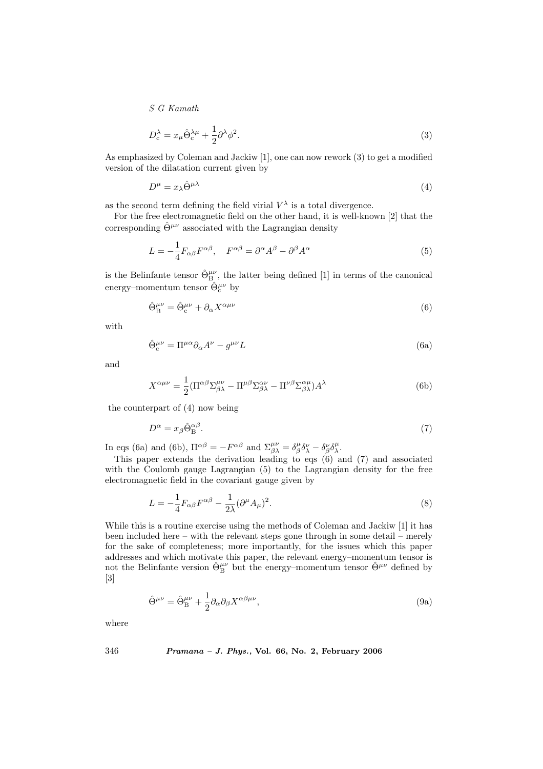$$
D_c^{\lambda} = x_{\mu} \hat{\Theta}_c^{\lambda \mu} + \frac{1}{2} \partial^{\lambda} \phi^2.
$$
 (3)

As emphasized by Coleman and Jackiw [1], one can now rework (3) to get a modified version of the dilatation current given by

$$
D^{\mu} = x_{\lambda} \hat{\Theta}^{\mu \lambda} \tag{4}
$$

as the second term defining the field virial  $V^{\lambda}$  is a total divergence.

For the free electromagnetic field on the other hand, it is well-known [2] that the corresponding  $\hat{\Theta}^{\mu\nu}$  associated with the Lagrangian density

$$
L = -\frac{1}{4}F_{\alpha\beta}F^{\alpha\beta}, \quad F^{\alpha\beta} = \partial^{\alpha}A^{\beta} - \partial^{\beta}A^{\alpha} \tag{5}
$$

is the Belinfante tensor  $\hat{\Theta}_{B}^{\mu\nu}$ , the latter being defined [1] in terms of the canonical energy–momentum tensor  $\hat{\Theta}^{\mu\nu}_{\rm c}$  by

$$
\hat{\Theta}_{\rm B}^{\mu\nu} = \hat{\Theta}_{\rm c}^{\mu\nu} + \partial_{\alpha} X^{\alpha\mu\nu} \tag{6}
$$

with

$$
\hat{\Theta}_{\rm c}^{\mu\nu} = \Pi^{\mu\alpha}\partial_{\alpha}A^{\nu} - g^{\mu\nu}L\tag{6a}
$$

and

$$
X^{\alpha\mu\nu} = \frac{1}{2} (\Pi^{\alpha\beta} \Sigma^{\mu\nu}_{\beta\lambda} - \Pi^{\mu\beta} \Sigma^{\alpha\nu}_{\beta\lambda} - \Pi^{\nu\beta} \Sigma^{\alpha\mu}_{\beta\lambda}) A^{\lambda} \tag{6b}
$$

the counterpart of (4) now being

$$
D^{\alpha} = x_{\beta} \hat{\Theta}_{\mathcal{B}}^{\alpha \beta}.
$$
 (7)

In eqs (6a) and (6b),  $\Pi^{\alpha\beta} = -F^{\alpha\beta}$  and  $\Sigma^{\mu\nu}_{\beta\lambda} = \delta^{\mu}_{\beta}\delta^{\nu}_{\lambda} - \delta^{\nu}_{\beta}\delta^{\mu}_{\lambda}$ .

This paper extends the derivation leading to eqs (6) and (7) and associated with the Coulomb gauge Lagrangian (5) to the Lagrangian density for the free electromagnetic field in the covariant gauge given by

$$
L = -\frac{1}{4}F_{\alpha\beta}F^{\alpha\beta} - \frac{1}{2\lambda}(\partial^{\mu}A_{\mu})^2.
$$
 (8)

While this is a routine exercise using the methods of Coleman and Jackiw [1] it has been included here – with the relevant steps gone through in some detail – merely for the sake of completeness; more importantly, for the issues which this paper addresses and which motivate this paper, the relevant energy–momentum tensor is not the Belinfante version  $\hat{\Theta}_{B}^{\mu\nu}$  but the energy–momentum tensor  $\hat{\Theta}^{\mu\nu}$  defined by [3]

$$
\hat{\Theta}^{\mu\nu} = \hat{\Theta}^{\mu\nu}_{\text{B}} + \frac{1}{2} \partial_{\alpha} \partial_{\beta} X^{\alpha\beta\mu\nu},\tag{9a}
$$

where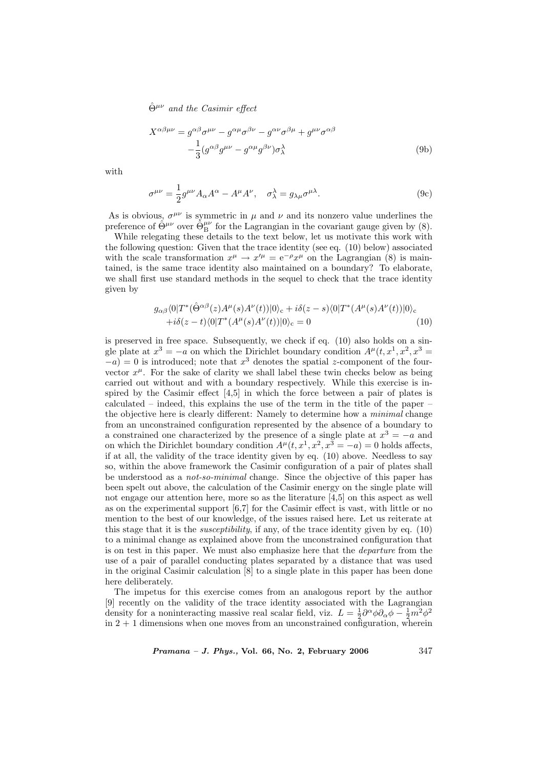$$
X^{\alpha\beta\mu\nu} = g^{\alpha\beta}\sigma^{\mu\nu} - g^{\alpha\mu}\sigma^{\beta\nu} - g^{\alpha\nu}\sigma^{\beta\mu} + g^{\mu\nu}\sigma^{\alpha\beta} - \frac{1}{3}(g^{\alpha\beta}g^{\mu\nu} - g^{\alpha\mu}g^{\beta\nu})\sigma^{\lambda}_{\lambda}
$$
\n(9b)

with

$$
\sigma^{\mu\nu} = \frac{1}{2} g^{\mu\nu} A_{\alpha} A^{\alpha} - A^{\mu} A^{\nu}, \quad \sigma_{\lambda}^{\lambda} = g_{\lambda\mu} \sigma^{\mu\lambda}.
$$
 (9c)

As is obvious,  $\sigma^{\mu\nu}$  is symmetric in  $\mu$  and  $\nu$  and its nonzero value underlines the preference of  $\hat{\Theta}^{\mu\nu}$  over  $\hat{\Theta}^{\mu\nu}_B$  for the Lagrangian in the covariant gauge given by (8).

While relegating these details to the text below, let us motivate this work with the following question: Given that the trace identity (see eq. (10) below) associated with the scale transformation  $x^{\mu} \to x'^{\mu} = e^{-\rho} x^{\mu}$  on the Lagrangian (8) is maintained, is the same trace identity also maintained on a boundary? To elaborate, we shall first use standard methods in the sequel to check that the trace identity given by

$$
g_{\alpha\beta}\langle 0|T^*(\hat{\Theta}^{\alpha\beta}(z)A^{\mu}(s)A^{\nu}(t))|0\rangle_c + i\delta(z-s)\langle 0|T^*(A^{\mu}(s)A^{\nu}(t))|0\rangle_c +i\delta(z-t)\langle 0|T^*(A^{\mu}(s)A^{\nu}(t))|0\rangle_c = 0
$$
\n(10)

is preserved in free space. Subsequently, we check if eq. (10) also holds on a single plate at  $x^3 = -a$  on which the Dirichlet boundary condition  $A^{\mu}(t, x^1, x^2, x^3 =$  $(a-a) = 0$  is introduced; note that  $x^3$  denotes the spatial z-component of the fourvector  $x^{\mu}$ . For the sake of clarity we shall label these twin checks below as being carried out without and with a boundary respectively. While this exercise is inspired by the Casimir effect [4,5] in which the force between a pair of plates is calculated – indeed, this explains the use of the term in the title of the paper – the objective here is clearly different: Namely to determine how a minimal change from an unconstrained configuration represented by the absence of a boundary to a constrained one characterized by the presence of a single plate at  $x^3 = -a$  and on which the Dirichlet boundary condition  $A^{\mu}(t, x^1, x^2, x^3 = -a) = 0$  holds affects, if at all, the validity of the trace identity given by eq. (10) above. Needless to say so, within the above framework the Casimir configuration of a pair of plates shall be understood as a not-so-minimal change. Since the objective of this paper has been spelt out above, the calculation of the Casimir energy on the single plate will not engage our attention here, more so as the literature [4,5] on this aspect as well as on the experimental support  $[6,7]$  for the Casimir effect is vast, with little or no mention to the best of our knowledge, of the issues raised here. Let us reiterate at this stage that it is the susceptibility, if any, of the trace identity given by eq. (10) to a minimal change as explained above from the unconstrained configuration that is on test in this paper. We must also emphasize here that the departure from the use of a pair of parallel conducting plates separated by a distance that was used in the original Casimir calculation [8] to a single plate in this paper has been done here deliberately.

The impetus for this exercise comes from an analogous report by the author [9] recently on the validity of the trace identity associated with the Lagrangian density for a noninteracting massive real scalar field, viz.  $L = \frac{1}{2} \partial^{\alpha} \phi \partial_{\alpha} \phi - \frac{1}{2} m^2 \phi^2$ in  $2 + 1$  dimensions when one moves from an unconstrained configuration, wherein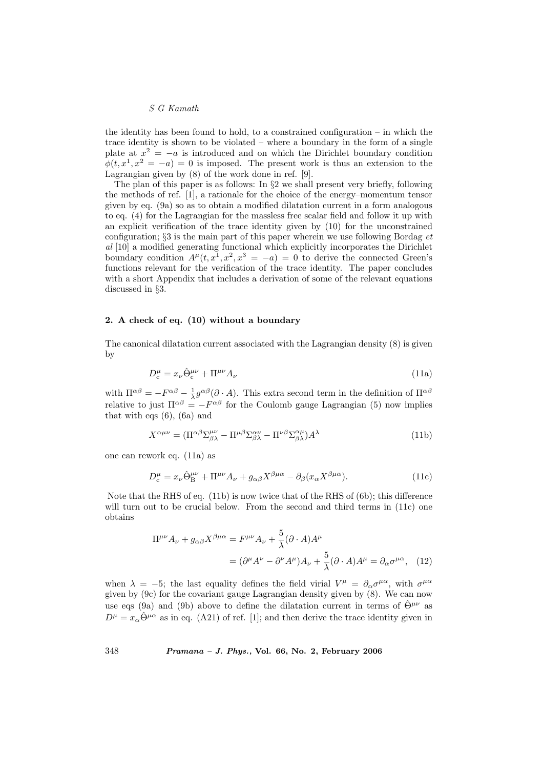the identity has been found to hold, to a constrained configuration  $-$  in which the trace identity is shown to be violated – where a boundary in the form of a single plate at  $x^2 = -a$  is introduced and on which the Dirichlet boundary condition  $\phi(t, x^1, x^2 = -a) = 0$  is imposed. The present work is thus an extension to the Lagrangian given by (8) of the work done in ref. [9].

The plan of this paper is as follows: In §2 we shall present very briefly, following the methods of ref. [1], a rationale for the choice of the energy–momentum tensor given by eq. (9a) so as to obtain a modified dilatation current in a form analogous to eq. (4) for the Lagrangian for the massless free scalar field and follow it up with an explicit verification of the trace identity given by (10) for the unconstrained configuration;  $\S 3$  is the main part of this paper wherein we use following Bordag  $et$ al [10] a modified generating functional which explicitly incorporates the Dirichlet boundary condition  $A^{\mu}(t, x^{1}, x^{2}, x^{3} = -a) = 0$  to derive the connected Green's functions relevant for the verification of the trace identity. The paper concludes with a short Appendix that includes a derivation of some of the relevant equations discussed in §3.

### 2. A check of eq. (10) without a boundary

The canonical dilatation current associated with the Lagrangian density (8) is given by

$$
D_c^{\mu} = x_{\nu} \hat{\Theta}_c^{\mu \nu} + \Pi^{\mu \nu} A_{\nu}
$$
\n(11a)

with  $\Pi^{\alpha\beta} = -F^{\alpha\beta} - \frac{1}{\lambda}g^{\alpha\beta}(\partial \cdot A)$ . This extra second term in the definition of  $\Pi^{\alpha\beta}$ relative to just  $\Pi^{\alpha\beta} = -F^{\alpha\beta}$  for the Coulomb gauge Lagrangian (5) now implies that with eqs (6), (6a) and

$$
X^{\alpha\mu\nu} = (\Pi^{\alpha\beta}\Sigma^{\mu\nu}_{\beta\lambda} - \Pi^{\mu\beta}\Sigma^{\alpha\nu}_{\beta\lambda} - \Pi^{\nu\beta}\Sigma^{\alpha\mu}_{\beta\lambda})A^{\lambda}
$$
(11b)

one can rework eq. (11a) as

$$
D_c^{\mu} = x_{\nu} \hat{\Theta}_B^{\mu\nu} + \Pi^{\mu\nu} A_{\nu} + g_{\alpha\beta} X^{\beta\mu\alpha} - \partial_{\beta} (x_{\alpha} X^{\beta\mu\alpha}). \tag{11c}
$$

Note that the RHS of eq. (11b) is now twice that of the RHS of (6b); this difference will turn out to be crucial below. From the second and third terms in (11c) one obtains

$$
\Pi^{\mu\nu} A_{\nu} + g_{\alpha\beta} X^{\beta\mu\alpha} = F^{\mu\nu} A_{\nu} + \frac{5}{\lambda} (\partial \cdot A) A^{\mu}
$$

$$
= (\partial^{\mu} A^{\nu} - \partial^{\nu} A^{\mu}) A_{\nu} + \frac{5}{\lambda} (\partial \cdot A) A^{\mu} = \partial_{\alpha} \sigma^{\mu\alpha}, \quad (12)
$$

when  $\lambda = -5$ ; the last equality defines the field virial  $V^{\mu} = \partial_{\alpha} \sigma^{\mu \alpha}$ , with  $\sigma^{\mu \alpha}$ given by (9c) for the covariant gauge Lagrangian density given by (8). We can now use eqs (9a) and (9b) above to define the dilatation current in terms of  $\hat{\Theta}^{\mu\nu}$  as  $D^{\mu} = x_{\alpha} \hat{\Theta}^{\mu \alpha}$  as in eq. (A21) of ref. [1]; and then derive the trace identity given in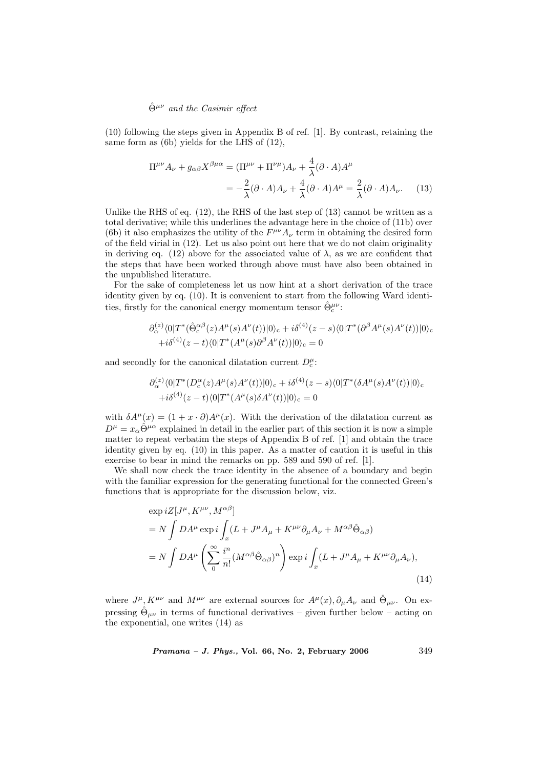(10) following the steps given in Appendix B of ref. [1]. By contrast, retaining the same form as (6b) yields for the LHS of (12),

$$
\Pi^{\mu\nu} A_{\nu} + g_{\alpha\beta} X^{\beta\mu\alpha} = (\Pi^{\mu\nu} + \Pi^{\nu\mu}) A_{\nu} + \frac{4}{\lambda} (\partial \cdot A) A^{\mu}
$$

$$
= -\frac{2}{\lambda} (\partial \cdot A) A_{\nu} + \frac{4}{\lambda} (\partial \cdot A) A^{\mu} = \frac{2}{\lambda} (\partial \cdot A) A_{\nu}. \tag{13}
$$

Unlike the RHS of eq.  $(12)$ , the RHS of the last step of  $(13)$  cannot be written as a total derivative; while this underlines the advantage here in the choice of (11b) over (6b) it also emphasizes the utility of the  $F^{\mu\nu}A_{\nu}$  term in obtaining the desired form of the field virial in (12). Let us also point out here that we do not claim originality in deriving eq. (12) above for the associated value of  $\lambda$ , as we are confident that the steps that have been worked through above must have also been obtained in the unpublished literature.

For the sake of completeness let us now hint at a short derivation of the trace identity given by eq. (10). It is convenient to start from the following Ward identities, firstly for the canonical energy momentum tensor  $\hat{\Theta}^{\mu\nu}_{\rm c}$ :

$$
\partial_{\alpha}^{(z)} \langle 0|T^*(\hat{\Theta}_c^{\alpha\beta}(z)A^{\mu}(s)A^{\nu}(t))|0\rangle_c + i\delta^{(4)}(z-s) \langle 0|T^*(\partial^{\beta}A^{\mu}(s)A^{\nu}(t))|0\rangle_c +i\delta^{(4)}(z-t) \langle 0|T^*(A^{\mu}(s)\partial^{\beta}A^{\nu}(t))|0\rangle_c = 0
$$

and secondly for the canonical dilatation current  $D_c^{\mu}$ :

$$
\partial_{\alpha}^{(z)} \langle 0|T^*(D_c^{\alpha}(z)A^{\mu}(s)A^{\nu}(t))|0\rangle_c + i\delta^{(4)}(z-s) \langle 0|T^*(\delta A^{\mu}(s)A^{\nu}(t))|0\rangle_c +i\delta^{(4)}(z-t) \langle 0|T^*(A^{\mu}(s)\delta A^{\nu}(t))|0\rangle_c = 0
$$

with  $\delta A^{\mu}(x) = (1 + x \cdot \partial) A^{\mu}(x)$ . With the derivation of the dilatation current as  $D^{\mu} = x_{\alpha} \hat{\Theta}^{\mu \alpha}$  explained in detail in the earlier part of this section it is now a simple matter to repeat verbatim the steps of Appendix B of ref. [1] and obtain the trace identity given by eq. (10) in this paper. As a matter of caution it is useful in this exercise to bear in mind the remarks on pp. 589 and 590 of ref. [1].

We shall now check the trace identity in the absence of a boundary and begin with the familiar expression for the generating functional for the connected Green's functions that is appropriate for the discussion below, viz.

$$
\exp iZ[J^{\mu}, K^{\mu\nu}, M^{\alpha\beta}]
$$
  
=  $N \int DA^{\mu} \exp i \int_x (L + J^{\mu}A_{\mu} + K^{\mu\nu}\partial_{\mu}A_{\nu} + M^{\alpha\beta}\hat{\Theta}_{\alpha\beta})$   
=  $N \int DA^{\mu} \left( \sum_{0}^{\infty} \frac{i^{n}}{n!} (M^{\alpha\beta}\hat{\Theta}_{\alpha\beta})^{n} \right) \exp i \int_x (L + J^{\mu}A_{\mu} + K^{\mu\nu}\partial_{\mu}A_{\nu}),$  (14)

where  $J^{\mu}$ ,  $K^{\mu\nu}$  and  $M^{\mu\nu}$  are external sources for  $A^{\mu}(x), \partial_{\mu}A_{\nu}$  and  $\hat{\Theta}_{\mu\nu}$ . On expressing  $\hat{\Theta}_{\mu\nu}$  in terms of functional derivatives – given further below – acting on the exponential, one writes (14) as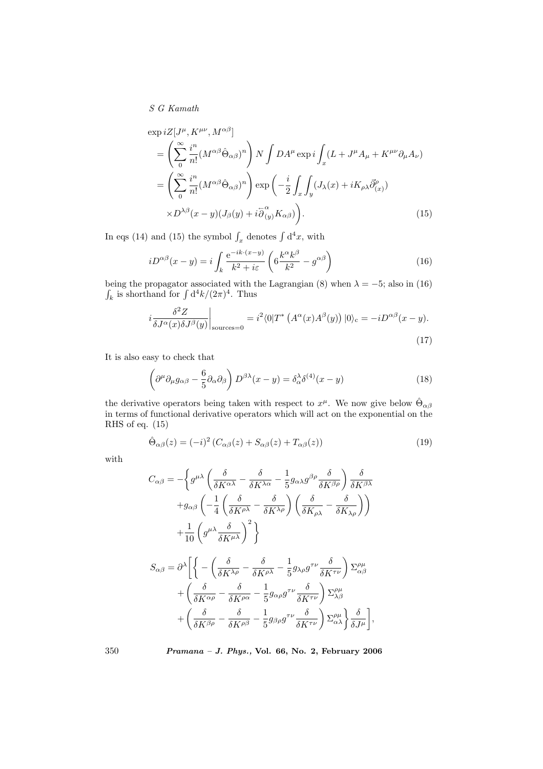$$
\exp iZ[J^{\mu}, K^{\mu\nu}, M^{\alpha\beta}]
$$
\n
$$
= \left(\sum_{0}^{\infty} \frac{i^{n}}{n!} (M^{\alpha\beta} \hat{\Theta}_{\alpha\beta})^{n}\right) N \int DA^{\mu} \exp i \int_{x} (L + J^{\mu} A_{\mu} + K^{\mu\nu} \partial_{\mu} A_{\nu})
$$
\n
$$
= \left(\sum_{0}^{\infty} \frac{i^{n}}{n!} (M^{\alpha\beta} \hat{\Theta}_{\alpha\beta})^{n}\right) \exp \left(-\frac{i}{2} \int_{x} \int_{y} (J_{\lambda}(x) + iK_{\rho\lambda} \vec{\partial}_{(x)}^{\rho})
$$
\n
$$
\times D^{\lambda\beta}(x - y) (J_{\beta}(y) + i\overline{\partial}_{(y)}^{\alpha} K_{\alpha\beta})\right).
$$
\n(15)

In eqs (14) and (15) the symbol  $\int_x$  denotes  $\int d^4x$ , with

$$
iD^{\alpha\beta}(x-y) = i\int_{k} \frac{e^{-ik\cdot(x-y)}}{k^2 + i\varepsilon} \left(6\frac{k^{\alpha}k^{\beta}}{k^2} - g^{\alpha\beta}\right)
$$
 (16)

being the propagator associated with the Lagrangian (8) when  $\lambda = -5$ ; also in (16) being the propagator associated with the k is shorthand for  $\int d^4k/(2\pi)^4$ . Thus

$$
i\frac{\delta^2 Z}{\delta J^{\alpha}(x)\delta J^{\beta}(y)}\bigg|_{\text{sources}=0} = i^2 \langle 0|T^* \left( A^{\alpha}(x) A^{\beta}(y) \right) |0\rangle_c = -i D^{\alpha\beta}(x-y). \tag{17}
$$

It is also easy to check that

$$
\left(\partial^{\mu}\partial_{\mu}g_{\alpha\beta} - \frac{6}{5}\partial_{\alpha}\partial_{\beta}\right)D^{\beta\lambda}(x-y) = \delta^{\lambda}_{\alpha}\delta^{(4)}(x-y)
$$
\n(18)

the derivative operators being taken with respect to  $x^{\mu}$ . We now give below  $\hat{\Theta}_{\alpha\beta}$ in terms of functional derivative operators which will act on the exponential on the RHS of eq. (15)

$$
\hat{\Theta}_{\alpha\beta}(z) = (-i)^2 \left( C_{\alpha\beta}(z) + S_{\alpha\beta}(z) + T_{\alpha\beta}(z) \right) \tag{19}
$$

with

$$
C_{\alpha\beta} = -\left\{ g^{\mu\lambda} \left( \frac{\delta}{\delta K^{\alpha\lambda}} - \frac{\delta}{\delta K^{\lambda\alpha}} - \frac{1}{5} g_{\alpha\lambda} g^{\beta\rho} \frac{\delta}{\delta K^{\beta\rho}} \right) \frac{\delta}{\delta K^{\beta\lambda}} \right.+ g_{\alpha\beta} \left( -\frac{1}{4} \left( \frac{\delta}{\delta K^{\rho\lambda}} - \frac{\delta}{\delta K^{\lambda\rho}} \right) \left( \frac{\delta}{\delta K_{\rho\lambda}} - \frac{\delta}{\delta K_{\lambda\rho}} \right) \right)+ \frac{1}{10} \left( g^{\mu\lambda} \frac{\delta}{\delta K^{\mu\lambda}} \right)^2 \right\}S_{\alpha\beta} = \partial^{\lambda} \left[ \left\{ - \left( \frac{\delta}{\delta K^{\lambda\rho}} - \frac{\delta}{\delta K^{\rho\lambda}} - \frac{1}{5} g_{\lambda\rho} g^{\tau\nu} \frac{\delta}{\delta K^{\tau\nu}} \right) \Sigma^{\rho\mu}_{\alpha\beta} \right.+ \left( \frac{\delta}{\delta K^{\alpha\rho}} - \frac{\delta}{\delta K^{\rho\alpha}} - \frac{1}{5} g_{\alpha\rho} g^{\tau\nu} \frac{\delta}{\delta K^{\tau\nu}} \right) \Sigma^{\rho\mu}_{\lambda\beta}+ \left( \frac{\delta}{\delta K^{\beta\rho}} - \frac{\delta}{\delta K^{\rho\beta}} - \frac{1}{5} g_{\beta\rho} g^{\tau\nu} \frac{\delta}{\delta K^{\tau\nu}} \right) \Sigma^{\rho\mu}_{\alpha\lambda} \right\} \frac{\delta}{\delta J^{\mu}} \right],
$$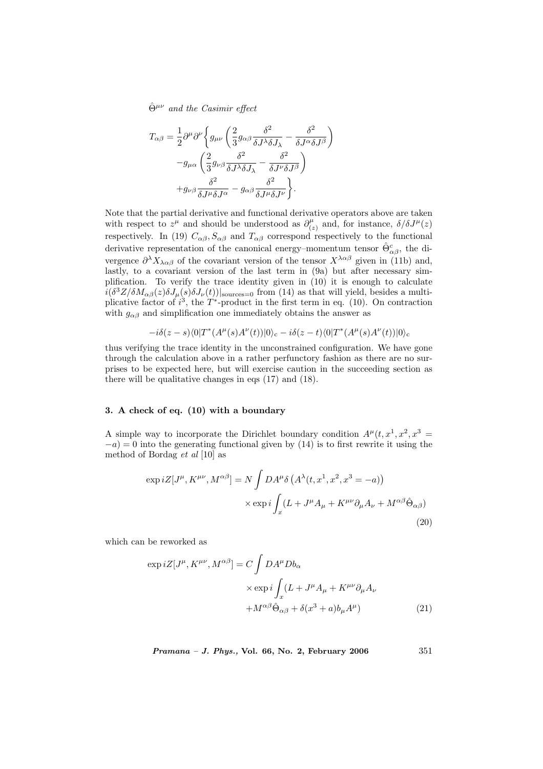$$
T_{\alpha\beta} = \frac{1}{2} \partial^{\mu} \partial^{\nu} \left\{ g_{\mu\nu} \left( \frac{2}{3} g_{\alpha\beta} \frac{\delta^2}{\delta J^{\lambda} \delta J_{\lambda}} - \frac{\delta^2}{\delta J^{\alpha} \delta J^{\beta}} \right) \right.-g_{\mu\alpha} \left( \frac{2}{3} g_{\nu\beta} \frac{\delta^2}{\delta J^{\lambda} \delta J_{\lambda}} - \frac{\delta^2}{\delta J^{\nu} \delta J^{\beta}} \right)+g_{\nu\beta} \frac{\delta^2}{\delta J^{\mu} \delta J^{\alpha}} - g_{\alpha\beta} \frac{\delta^2}{\delta J^{\mu} \delta J^{\nu}} \right\}.
$$

Note that the partial derivative and functional derivative operators above are taken with respect to  $z^{\mu}$  and should be understood as  $\partial_{\mu}^{\mu}$  $\int_{(z)}^{\mu}$  and, for instance,  $\delta/\delta J^{\mu}(z)$ respectively. In (19)  $C_{\alpha\beta}$ ,  $S_{\alpha\beta}$  and  $T_{\alpha\beta}$  correspond respectively to the functional derivative representation of the canonical energy–momentum tensor  $\hat{\Theta}^c_{\alpha\beta}$ , the divergence  $\partial^{\lambda} X_{\lambda \alpha \beta}$  of the covariant version of the tensor  $X^{\lambda \alpha \beta}$  given in (11b) and, lastly, to a covariant version of the last term in (9a) but after necessary simplification. To verify the trace identity given in (10) it is enough to calculate  $i(\delta^3 Z/\delta M_{\alpha\beta}(z)\delta J_\mu(s)\delta J_\nu(t))|_{\text{sources}=0}$  from (14) as that will yield, besides a multiplicative factor of  $i^3$ , the T<sup>\*</sup>-product in the first term in eq. (10). On contraction with  $g_{\alpha\beta}$  and simplification one immediately obtains the answer as

$$
-i\delta(z-s)\langle 0|T^*(A^{\mu}(s)A^{\nu}(t))|0\rangle_c -i\delta(z-t)\langle 0|T^*(A^{\mu}(s)A^{\nu}(t))|0\rangle_c
$$

thus verifying the trace identity in the unconstrained configuration. We have gone through the calculation above in a rather perfunctory fashion as there are no surprises to be expected here, but will exercise caution in the succeeding section as there will be qualitative changes in eqs (17) and (18).

### 3. A check of eq. (10) with a boundary

A simple way to incorporate the Dirichlet boundary condition  $A^{\mu}(t, x^1, x^2, x^3 =$  $-a$ ) = 0 into the generating functional given by (14) is to first rewrite it using the method of Bordag et al [10] as

$$
\exp iZ[J^{\mu}, K^{\mu\nu}, M^{\alpha\beta}] = N \int DA^{\mu}\delta\left(A^{\lambda}(t, x^{1}, x^{2}, x^{3} = -a)\right)
$$

$$
\times \exp i \int_{x} (L + J^{\mu}A_{\mu} + K^{\mu\nu}\partial_{\mu}A_{\nu} + M^{\alpha\beta}\hat{\Theta}_{\alpha\beta})
$$
(20)

which can be reworked as

$$
\exp iZ[J^{\mu}, K^{\mu\nu}, M^{\alpha\beta}] = C \int DA^{\mu}Db_{\alpha}
$$

$$
\times \exp i \int_{x} (L + J^{\mu}A_{\mu} + K^{\mu\nu}\partial_{\mu}A_{\nu})
$$

$$
+ M^{\alpha\beta}\hat{\Theta}_{\alpha\beta} + \delta(x^{3} + a)b_{\mu}A^{\mu})
$$
(21)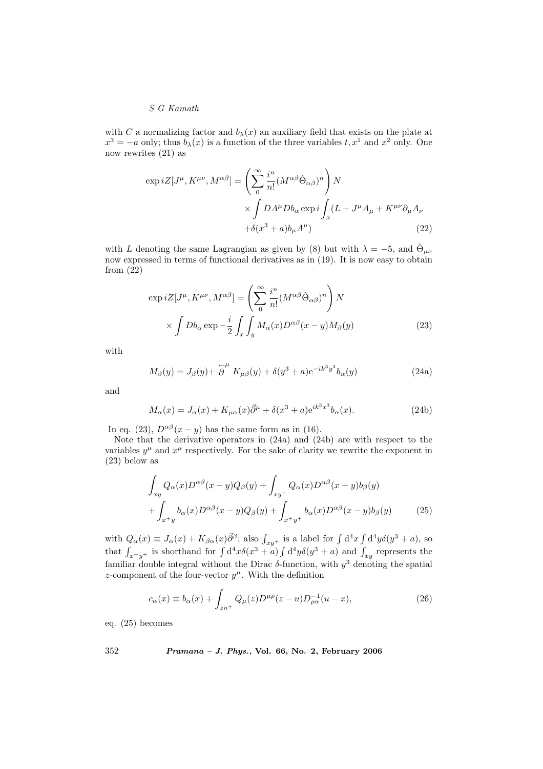with C a normalizing factor and  $b_{\lambda}(x)$  an auxiliary field that exists on the plate at  $x^3 = -a$  only; thus  $b_{\lambda}(x)$  is a function of the three variables  $t, x^1$  and  $x^2$  only. One now rewrites (21) as

$$
\exp iZ[J^{\mu}, K^{\mu\nu}, M^{\alpha\beta}] = \left(\sum_{0}^{\infty} \frac{i^{n}}{n!} (M^{\alpha\beta} \hat{\Theta}_{\alpha\beta})^{n}\right) N
$$

$$
\times \int DA^{\mu} Db_{\alpha} \exp i \int_{x} (L + J^{\mu} A_{\mu} + K^{\mu\nu} \partial_{\mu} A_{\nu})
$$

$$
+ \delta(x^{3} + a)b_{\mu} A^{\mu})
$$
(22)

with L denoting the same Lagrangian as given by (8) but with  $\lambda = -5$ , and  $\hat{\Theta}_{\mu\nu}$ now expressed in terms of functional derivatives as in (19). It is now easy to obtain from (22)

$$
\exp iZ[J^{\mu}, K^{\mu\nu}, M^{\alpha\beta}] = \left(\sum_{0}^{\infty} \frac{i^{n}}{n!} (M^{\alpha\beta} \hat{\Theta}_{\alpha\beta})^{n}\right) N
$$

$$
\times \int Db_{\alpha} \exp{-\frac{i}{2} \int_{x} \int_{y} M_{\alpha}(x) D^{\alpha\beta}(x-y) M_{\beta}(y)}
$$
(23)

with

$$
M_{\beta}(y) = J_{\beta}(y) + \stackrel{\leftarrow}{\partial}^{\mu} K_{\mu\beta}(y) + \delta(y^3 + a)e^{-ik^3y^3}b_{\alpha}(y)
$$
\n(24a)

and

$$
M_{\alpha}(x) = J_{\alpha}(x) + K_{\mu\alpha}(x)\overrightarrow{\partial}^{\mu} + \delta(x^3 + a)e^{ik^3x^3}b_{\alpha}(x).
$$
 (24b)

In eq. (23),  $D^{\alpha\beta}(x-y)$  has the same form as in (16).

Note that the derivative operators in (24a) and (24b) are with respect to the variables  $y^{\mu}$  and  $x^{\mu}$  respectively. For the sake of clarity we rewrite the exponent in (23) below as

$$
\int_{xy} Q_{\alpha}(x) D^{\alpha\beta}(x-y) Q_{\beta}(y) + \int_{xy^{+}} Q_{\alpha}(x) D^{\alpha\beta}(x-y) b_{\beta}(y) + \int_{x+y} b_{\alpha}(x) D^{\alpha\beta}(x-y) Q_{\beta}(y) + \int_{x+y^{+}} b_{\alpha}(x) D^{\alpha\beta}(x-y) b_{\beta}(y)
$$
(25)

with  $Q_{\alpha}(x) \equiv J_{\alpha}(x) + K_{\beta \alpha}(x) \vec{\partial}^{\beta}$ ; also  $\int_{xy^+}$  is a label for  $\int d^4x \int$ with  $Q_{\alpha}(x) \equiv J_{\alpha}(x) + K_{\beta\alpha}(x)\bar{\partial}^{\beta}$ ; also  $\int_{xy^+}$  is a label for  $\int d^4x \int d^4y \delta(y^3 + a)$ , so that  $\int_{x+y^+}$  is shorthand for  $\int d^4x \delta(x^3 + a) \int d^4y \delta(y^3 + a)$  and  $\int_{xy}$  represents the  $d^4y\delta(y^3 + a)$  and  $\int_{xy}$  represents the familiar double integral without the Dirac  $\delta$ -function, with  $y^3$  denoting the spatial z-component of the four-vector  $y^{\mu}$ . With the definition

$$
c_{\alpha}(x) \equiv b_{\alpha}(x) + \int_{zu^{+}} Q_{\mu}(z) D^{\mu\rho}(z - u) D_{\rho\alpha}^{-1}(u - x), \qquad (26)
$$

eq. (25) becomes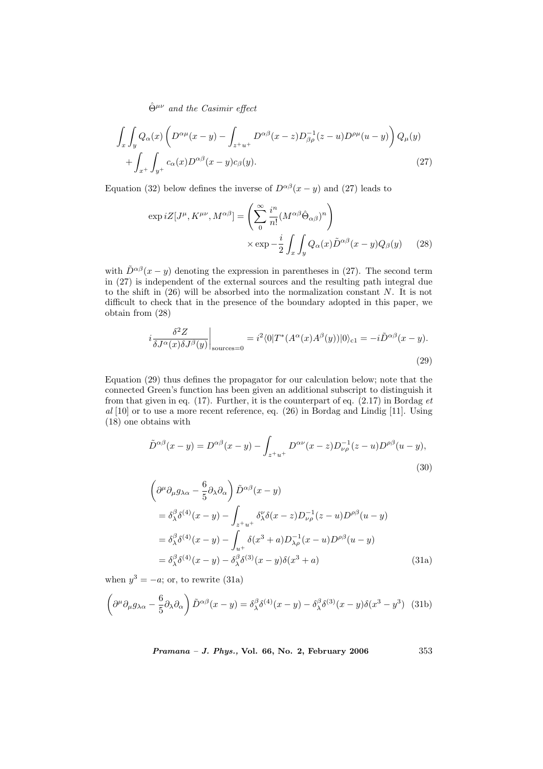$$
\int_{x} \int_{y} Q_{\alpha}(x) \left( D^{\alpha \mu}(x - y) - \int_{z + u^{+}} D^{\alpha \beta}(x - z) D_{\beta \rho}^{-1}(z - u) D^{\rho \mu}(u - y) \right) Q_{\mu}(y) + \int_{x^{+}} \int_{y^{+}} c_{\alpha}(x) D^{\alpha \beta}(x - y) c_{\beta}(y).
$$
\n(27)

Equation (32) below defines the inverse of  $D^{\alpha\beta}(x-y)$  and (27) leads to

$$
\exp iZ[J^{\mu}, K^{\mu\nu}, M^{\alpha\beta}] = \left(\sum_{0}^{\infty} \frac{i^{n}}{n!} (M^{\alpha\beta} \hat{\Theta}_{\alpha\beta})^{n}\right) \times \exp -\frac{i}{2} \int_{x} \int_{y} Q_{\alpha}(x) \tilde{D}^{\alpha\beta}(x-y) Q_{\beta}(y) \tag{28}
$$

with  $\tilde{D}^{\alpha\beta}(x-y)$  denoting the expression in parentheses in (27). The second term in (27) is independent of the external sources and the resulting path integral due to the shift in  $(26)$  will be absorbed into the normalization constant N. It is not difficult to check that in the presence of the boundary adopted in this paper, we obtain from (28)

$$
i\frac{\delta^2 Z}{\delta J^{\alpha}(x)\delta J^{\beta}(y)}\bigg|_{\text{sources}=0} = i^2 \langle 0|T^*(A^{\alpha}(x)A^{\beta}(y))|0\rangle_{\text{cl}} = -i\tilde{D}^{\alpha\beta}(x-y). \tag{29}
$$

Equation (29) thus defines the propagator for our calculation below; note that the connected Green's function has been given an additional subscript to distinguish it from that given in eq. (17). Further, it is the counterpart of eq.  $(2.17)$  in Bordag et al [10] or to use a more recent reference, eq. (26) in Bordag and Lindig [11]. Using (18) one obtains with

$$
\tilde{D}^{\alpha\beta}(x-y) = D^{\alpha\beta}(x-y) - \int_{z^+u^+} D^{\alpha\nu}(x-z) D_{\nu\rho}^{-1}(z-u) D^{\rho\beta}(u-y),
$$
\n(30)

$$
\left(\partial^{\mu}\partial_{\mu}g_{\lambda\alpha} - \frac{6}{5}\partial_{\lambda}\partial_{\alpha}\right)\tilde{D}^{\alpha\beta}(x-y)
$$
  
\n
$$
= \delta^{\beta}_{\lambda}\delta^{(4)}(x-y) - \int_{z+u^{+}} \delta^{\nu}_{\lambda}\delta(x-z)D^{-1}_{\nu\rho}(z-u)D^{\rho\beta}(u-y)
$$
  
\n
$$
= \delta^{\beta}_{\lambda}\delta^{(4)}(x-y) - \int_{u^{+}} \delta(x^{3}+a)D^{-1}_{\lambda\rho}(x-u)D^{\rho\beta}(u-y)
$$
  
\n
$$
= \delta^{\beta}_{\lambda}\delta^{(4)}(x-y) - \delta^{\beta}_{\lambda}\delta^{(3)}(x-y)\delta(x^{3}+a) \tag{31a}
$$

when  $y^3 = -a$ ; or, to rewrite (31a)

$$
\left(\partial^{\mu}\partial_{\mu}g_{\lambda\alpha} - \frac{6}{5}\partial_{\lambda}\partial_{\alpha}\right)\tilde{D}^{\alpha\beta}(x-y) = \delta^{\beta}_{\lambda}\delta^{(4)}(x-y) - \delta^{\beta}_{\lambda}\delta^{(3)}(x-y)\delta(x^{3}-y^{3})
$$
 (31b)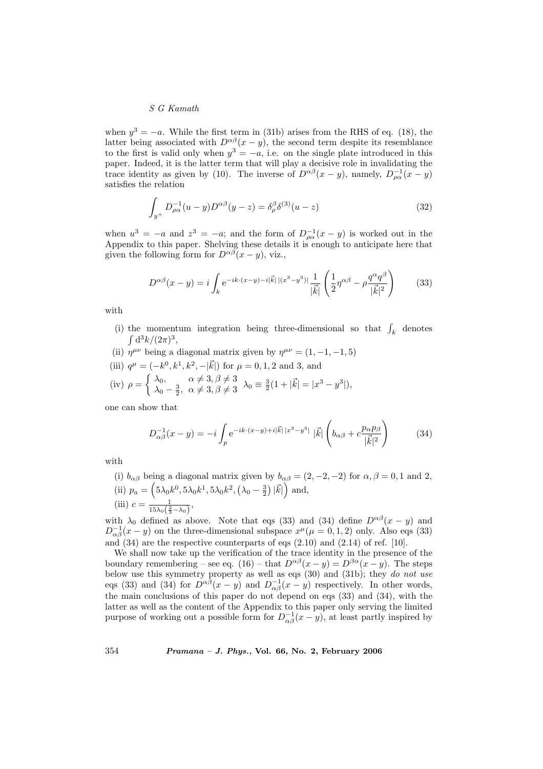when  $y^3 = -a$ . While the first term in (31b) arises from the RHS of eq. (18), the latter being associated with  $D^{\alpha\beta}(x-y)$ , the second term despite its resemblance to the first is valid only when  $y^3 = -a$ , i.e. on the single plate introduced in this paper. Indeed, it is the latter term that will play a decisive role in invalidating the trace identity as given by (10). The inverse of  $D^{\alpha\beta}(x-y)$ , namely,  $D^{-1}_{\rho\alpha}(x-y)$ satisfies the relation

$$
\int_{y^+} D_{\rho\alpha}^{-1}(u-y)D^{\alpha\beta}(y-z) = \delta_\rho^\beta \delta^{(3)}(u-z)
$$
\n(32)

when  $u^3 = -a$  and  $z^3 = -a$ ; and the form of  $D_{\rho\alpha}^{-1}(x - y)$  is worked out in the Appendix to this paper. Shelving these details it is enough to anticipate here that given the following form for  $D^{\alpha\beta}(x-y)$ , viz.,

$$
D^{\alpha\beta}(x-y) = i \int_{k} e^{-ik \cdot (x-y) - i|\vec{k}| |(x^3 - y^3)|} \frac{1}{|\vec{k}|} \left( \frac{1}{2} \eta^{\alpha\beta} - \rho \frac{q^{\alpha} q^{\beta}}{|\vec{k}|^2} \right)
$$
(33)

with

- (i) the momentum integration being three-dimensional so that  $\int_k$  denotes  $d^3k/(2\pi)^3$ ,
- (ii)  $\eta^{\mu\nu}$  being a diagonal matrix given by  $\eta^{\mu\nu} = (1, -1, -1, 5)$
- (iii)  $q^{\mu} = (-k^0, k^1, k^2, -|\vec{k}|)$  for  $\mu = 0, 1, 2$  and 3, and
- (iv)  $\rho =$  $\int \lambda_0, \quad \alpha \neq 3, \beta \neq 3$  $\lambda_0, \quad \alpha \neq 3, \beta \neq 3 \quad \lambda_0 \equiv \frac{3}{2}(1 + |\vec{k}| = |x^3 - y^3|),$ <br>  $\lambda_0 - \frac{3}{2}, \alpha \neq 3, \beta \neq 3 \quad \lambda_0 \equiv \frac{3}{2}(1 + |\vec{k}| = |x^3 - y^3|),$

one can show that

$$
D_{\alpha\beta}^{-1}(x-y) = -i \int_{p} e^{-ik \cdot (x-y) + i|\vec{k}| |x^3 - y^3|} |\vec{k}| \left( b_{\alpha\beta} + c \frac{p_{\alpha}p_{\beta}}{|\vec{k}|^2} \right)
$$
 (34)

with

(i)  $b_{\alpha\beta}$  being a diagonal matrix given by  $b_{\alpha\beta} = (2, -2, -2)$  for  $\alpha, \beta = 0, 1$  and 2, (ii)  $p_a =$  $\frac{1}{2}$  $5\lambda_0k^0, 5\lambda_0k^1, 5\lambda_0k^2,$ ¡  $\lambda_0-\frac{3}{2}$  $\tilde{\zeta}$  $|\vec{k}|$  $\frac{\alpha}{\lambda}$ and, (iii)  $c = \frac{1}{15\lambda_0(\frac{2}{3}-\lambda_0)},$ 

with  $\lambda_0$  defined as above. Note that eqs (33) and (34) define  $D^{\alpha\beta}(x-y)$  and  $D_{\alpha\beta}^{-1}(x-y)$  on the three-dimensional subspace  $x^{\mu}(\mu=0,1,2)$  only. Also eqs (33) and  $(34)$  are the respective counterparts of eqs  $(2.10)$  and  $(2.14)$  of ref. [10].

We shall now take up the verification of the trace identity in the presence of the boundary remembering – see eq. (16) – that  $D^{\alpha\beta}(x-y) = D^{\beta\alpha}(x-y)$ . The steps below use this symmetry property as well as eqs (30) and (31b); they do not use eqs (33) and (34) for  $\tilde{D}^{\alpha\beta}(x-y)$  and  $D_{\alpha\beta}^{-1}(x-y)$  respectively. In other words, the main conclusions of this paper do not depend on eqs (33) and (34), with the latter as well as the content of the Appendix to this paper only serving the limited purpose of working out a possible form for  $D_{\alpha\beta}^{-1}(x-y)$ , at least partly inspired by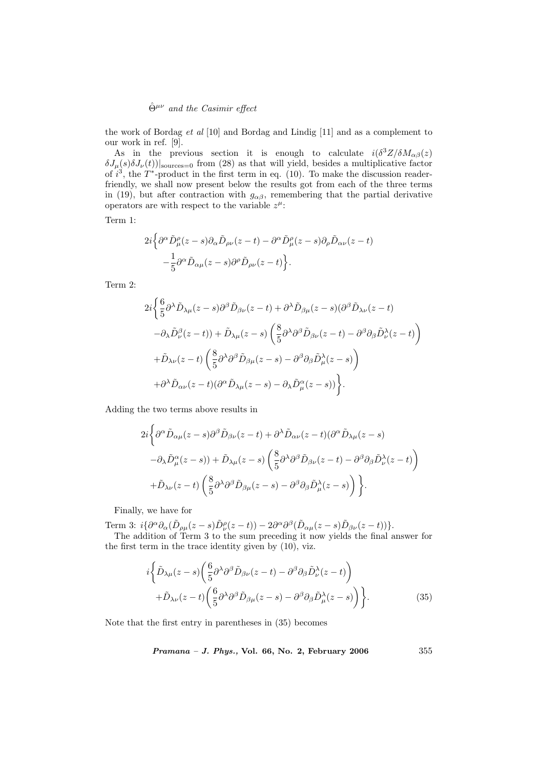the work of Bordag et al [10] and Bordag and Lindig [11] and as a complement to our work in ref. [9].

As in the previous section it is enough to calculate  $i(\delta^3 Z/\delta M_{\alpha\beta}(z))$  $\delta J_\mu(s)\delta J_\nu(t)$ <sub>sources=0</sub> from (28) as that will yield, besides a multiplicative factor of  $i^3$ , the T<sup>\*</sup>-product in the first term in eq. (10). To make the discussion readerfriendly, we shall now present below the results got from each of the three terms in (19), but after contraction with  $g_{\alpha\beta}$ , remembering that the partial derivative operators are with respect to the variable  $z^{\mu}$ :

Term 1:

$$
2i\Big\{\partial^{\alpha}\tilde{D}_{\mu}^{\rho}(z-s)\partial_{\alpha}\tilde{D}_{\rho\nu}(z-t)-\partial^{\alpha}\tilde{D}_{\mu}^{\rho}(z-s)\partial_{\rho}\tilde{D}_{\alpha\nu}(z-t)\Big\}-\frac{1}{5}\partial^{\alpha}\tilde{D}_{\alpha\mu}(z-s)\partial^{\rho}\tilde{D}_{\rho\nu}(z-t)\Big\}.
$$

Term 2:

$$
\begin{split} &2i\bigg\{\frac{6}{5}\partial^{\lambda}\tilde{D}_{\lambda\mu}(z-s)\partial^{\beta}\tilde{D}_{\beta\nu}(z-t)+\partial^{\lambda}\tilde{D}_{\beta\mu}(z-s)(\partial^{\beta}\tilde{D}_{\lambda\nu}(z-t)\\ &-\partial_{\lambda}\tilde{D}^{\beta}_{\nu}(z-t))+\tilde{D}_{\lambda\mu}(z-s)\left(\frac{8}{5}\partial^{\lambda}\partial^{\beta}\tilde{D}_{\beta\nu}(z-t)-\partial^{\beta}\partial_{\beta}\tilde{D}^{\lambda}_{\nu}(z-t)\right)\\ &+\tilde{D}_{\lambda\nu}(z-t)\left(\frac{8}{5}\partial^{\lambda}\partial^{\beta}\tilde{D}_{\beta\mu}(z-s)-\partial^{\beta}\partial_{\beta}\tilde{D}^{\lambda}_{\mu}(z-s)\right)\\ &+\partial^{\lambda}\tilde{D}_{\alpha\nu}(z-t)(\partial^{\alpha}\tilde{D}_{\lambda\mu}(z-s)-\partial_{\lambda}\tilde{D}^{\alpha}_{\mu}(z-s))\bigg\}. \end{split}
$$

Adding the two terms above results in

$$
2i\left\{\partial^{\alpha}\tilde{D}_{\alpha\mu}(z-s)\partial^{\beta}\tilde{D}_{\beta\nu}(z-t)+\partial^{\lambda}\tilde{D}_{\alpha\nu}(z-t)(\partial^{\alpha}\tilde{D}_{\lambda\mu}(z-s)\right.-\partial_{\lambda}\tilde{D}_{\mu}^{\alpha}(z-s))+\tilde{D}_{\lambda\mu}(z-s)\left(\frac{8}{5}\partial^{\lambda}\partial^{\beta}\tilde{D}_{\beta\nu}(z-t)-\partial^{\beta}\partial_{\beta}\tilde{D}_{\nu}^{\lambda}(z-t)\right)+\tilde{D}_{\lambda\nu}(z-t)\left(\frac{8}{5}\partial^{\lambda}\partial^{\beta}\tilde{D}_{\beta\mu}(z-s)-\partial^{\beta}\partial_{\beta}\tilde{D}_{\mu}^{\lambda}(z-s)\right)\bigg\}.
$$

Finally, we have for

Term 3:  $i\{\partial^{\alpha}\partial_{\alpha}(\tilde{D}_{\rho\mu}(z-s)\tilde{D}_{\nu}^{\rho}(z-t)) - 2\partial^{\alpha}\partial^{\beta}(\tilde{D}_{\alpha\mu}(z-s)\tilde{D}_{\beta\nu}(z-t))\}.$ 

The addition of Term 3 to the sum preceding it now yields the final answer for the first term in the trace identity given by  $(10)$ , viz.

$$
i\left\{\tilde{D}_{\lambda\mu}(z-s)\left(\frac{6}{5}\partial^{\lambda}\partial^{\beta}\tilde{D}_{\beta\nu}(z-t)-\partial^{\beta}\partial_{\beta}\tilde{D}_{\nu}^{\lambda}(z-t)\right)\right.+\tilde{D}_{\lambda\nu}(z-t)\left(\frac{6}{5}\partial^{\lambda}\partial^{\beta}\tilde{D}_{\beta\mu}(z-s)-\partial^{\beta}\partial_{\beta}\tilde{D}_{\mu}^{\lambda}(z-s)\right)\right\}.
$$
(35)

Note that the first entry in parentheses in (35) becomes

$$
Pramana - J. Phys., Vol. 66, No. 2, February 2006 \qquad \qquad 355
$$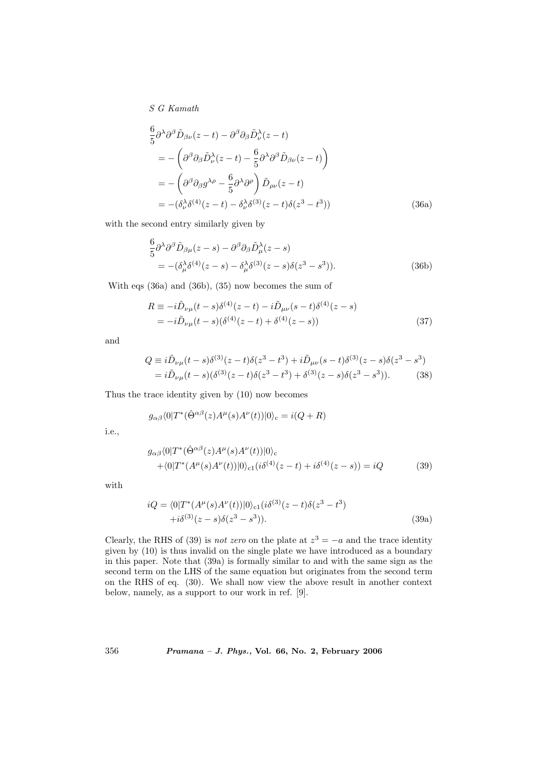$$
\frac{6}{5}\partial^{\lambda}\partial^{\beta}\tilde{D}_{\beta\nu}(z-t) - \partial^{\beta}\partial_{\beta}\tilde{D}_{\nu}^{\lambda}(z-t) \n= -\left(\partial^{\beta}\partial_{\beta}\tilde{D}_{\nu}^{\lambda}(z-t) - \frac{6}{5}\partial^{\lambda}\partial^{\beta}\tilde{D}_{\beta\nu}(z-t)\right) \n= -\left(\partial^{\beta}\partial_{\beta}g^{\lambda\rho} - \frac{6}{5}\partial^{\lambda}\partial^{\rho}\right)\tilde{D}_{\rho\nu}(z-t) \n= -(\delta_{\nu}^{\lambda}\delta^{(4)}(z-t) - \delta_{\nu}^{\lambda}\delta^{(3)}(z-t)\delta(z^{3}-t^{3}))
$$
\n(36a)

with the second entry similarly given by

$$
\frac{6}{5}\partial^{\lambda}\partial^{\beta}\tilde{D}_{\beta\mu}(z-s) - \partial^{\beta}\partial_{\beta}\tilde{D}_{\mu}^{\lambda}(z-s) \n= -(\delta_{\mu}^{\lambda}\delta^{(4)}(z-s) - \delta_{\mu}^{\lambda}\delta^{(3)}(z-s)\delta(z^{3}-s^{3})).
$$
\n(36b)

With eqs (36a) and (36b), (35) now becomes the sum of

$$
R \equiv -i\tilde{D}_{\nu\mu}(t-s)\delta^{(4)}(z-t) - i\tilde{D}_{\mu\nu}(s-t)\delta^{(4)}(z-s)
$$
  
=  $-i\tilde{D}_{\nu\mu}(t-s)(\delta^{(4)}(z-t) + \delta^{(4)}(z-s))$  (37)

and

$$
Q = i\tilde{D}_{\nu\mu}(t-s)\delta^{(3)}(z-t)\delta(z^3-t^3) + i\tilde{D}_{\mu\nu}(s-t)\delta^{(3)}(z-s)\delta(z^3-s^3)
$$
  
=  $i\tilde{D}_{\nu\mu}(t-s)(\delta^{(3)}(z-t)\delta(z^3-t^3) + \delta^{(3)}(z-s)\delta(z^3-s^3)).$  (38)

Thus the trace identity given by (10) now becomes

$$
g_{\alpha\beta}\langle 0|T^*(\hat{\Theta}^{\alpha\beta}(z)A^{\mu}(s)A^{\nu}(t))|0\rangle_c = i(Q+R)
$$

i.e.,

$$
g_{\alpha\beta}\langle 0|T^*(\hat{\Theta}^{\alpha\beta}(z)A^{\mu}(s)A^{\nu}(t))|0\rangle_c + \langle 0|T^*(A^{\mu}(s)A^{\nu}(t))|0\rangle_{c1}(i\delta^{(4)}(z-t) + i\delta^{(4)}(z-s)) = iQ
$$
 (39)

with

$$
iQ = \langle 0|T^*(A^{\mu}(s)A^{\nu}(t))|0\rangle_{c1}(i\delta^{(3)}(z-t)\delta(z^3-t^3) +i\delta^{(3)}(z-s)\delta(z^3-s^3)).
$$
\n(39a)

Clearly, the RHS of (39) is *not zero* on the plate at  $z^3 = -a$  and the trace identity given by (10) is thus invalid on the single plate we have introduced as a boundary in this paper. Note that (39a) is formally similar to and with the same sign as the second term on the LHS of the same equation but originates from the second term on the RHS of eq. (30). We shall now view the above result in another context below, namely, as a support to our work in ref. [9].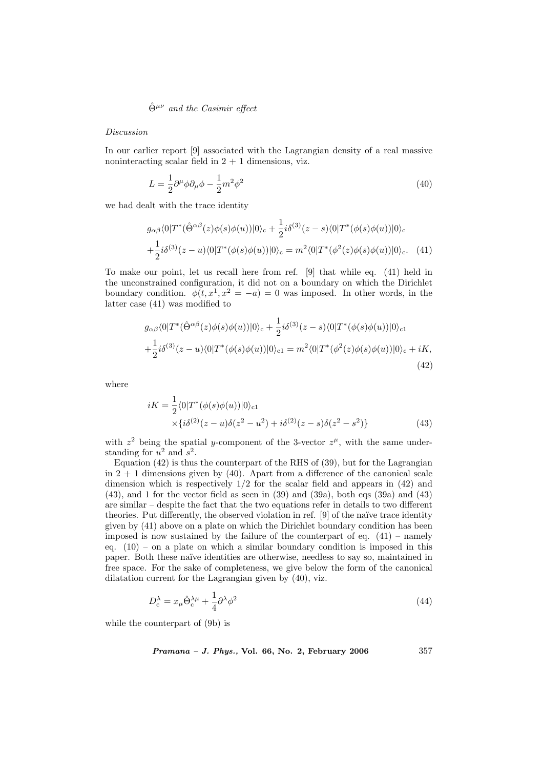#### Discussion

In our earlier report [9] associated with the Lagrangian density of a real massive noninteracting scalar field in  $2 + 1$  dimensions, viz.

$$
L = \frac{1}{2}\partial^{\mu}\phi\partial_{\mu}\phi - \frac{1}{2}m^{2}\phi^{2}
$$
\n(40)

we had dealt with the trace identity

$$
g_{\alpha\beta}\langle 0|T^*(\hat{\Theta}^{\alpha\beta}(z)\phi(s)\phi(u))|0\rangle_c + \frac{1}{2}i\delta^{(3)}(z-s)\langle 0|T^*(\phi(s)\phi(u))|0\rangle_c +\frac{1}{2}i\delta^{(3)}(z-u)\langle 0|T^*(\phi(s)\phi(u))|0\rangle_c = m^2\langle 0|T^*(\phi^2(z)\phi(s)\phi(u))|0\rangle_c.
$$
 (41)

To make our point, let us recall here from ref. [9] that while eq. (41) held in the unconstrained configuration, it did not on a boundary on which the Dirichlet boundary condition.  $\phi(t, x^1, x^2 = -a) = 0$  was imposed. In other words, in the latter case (41) was modified to

$$
g_{\alpha\beta}\langle 0|T^*(\hat{\Theta}^{\alpha\beta}(z)\phi(s)\phi(u))|0\rangle_c + \frac{1}{2}i\delta^{(3)}(z-s)\langle 0|T^*(\phi(s)\phi(u))|0\rangle_{c1} +\frac{1}{2}i\delta^{(3)}(z-u)\langle 0|T^*(\phi(s)\phi(u))|0\rangle_{c1} = m^2\langle 0|T^*(\phi^2(z)\phi(s)\phi(u))|0\rangle_c + iK,
$$
\n(42)

where

$$
iK = \frac{1}{2} \langle 0|T^*(\phi(s)\phi(u))|0\rangle_{c1}
$$
  
 
$$
\times \{i\delta^{(2)}(z-u)\delta(z^2-u^2) + i\delta^{(2)}(z-s)\delta(z^2-s^2)\}\
$$
 (43)

with  $z^2$  being the spatial y-component of the 3-vector  $z^{\mu}$ , with the same understanding for  $u^2$  and  $s^2$ .

Equation  $(42)$  is thus the counterpart of the RHS of  $(39)$ , but for the Lagrangian in  $2 + 1$  dimensions given by (40). Apart from a difference of the canonical scale dimension which is respectively 1/2 for the scalar field and appears in (42) and (43), and 1 for the vector field as seen in (39) and (39a), both eqs (39a) and (43) are similar – despite the fact that the two equations refer in details to two different theories. Put differently, the observed violation in ref. [9] of the naïve trace identity given by (41) above on a plate on which the Dirichlet boundary condition has been imposed is now sustained by the failure of the counterpart of eq.  $(41)$  – namely eq.  $(10)$  – on a plate on which a similar boundary condition is imposed in this paper. Both these na¨ıve identities are otherwise, needless to say so, maintained in free space. For the sake of completeness, we give below the form of the canonical dilatation current for the Lagrangian given by (40), viz.

$$
D_c^{\lambda} = x_{\mu} \hat{\Theta}_c^{\lambda \mu} + \frac{1}{4} \partial^{\lambda} \phi^2
$$
 (44)

while the counterpart of (9b) is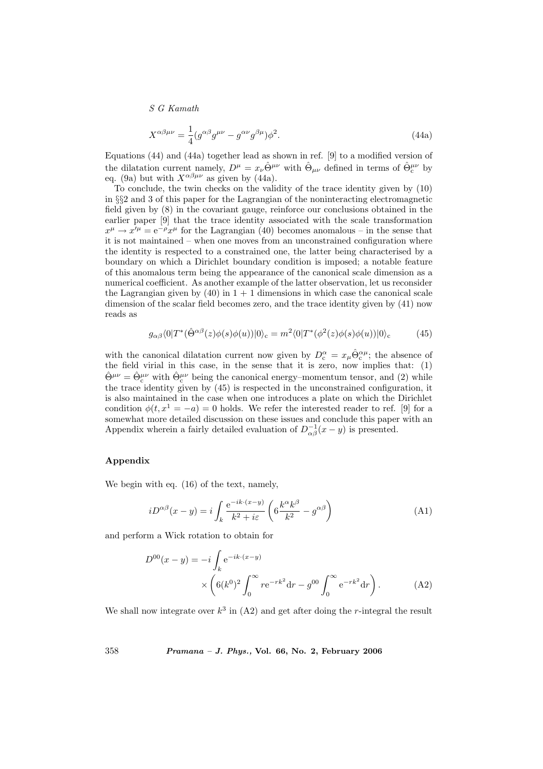$$
X^{\alpha\beta\mu\nu} = \frac{1}{4} (g^{\alpha\beta} g^{\mu\nu} - g^{\alpha\nu} g^{\beta\mu}) \phi^2.
$$
 (44a)

Equations (44) and (44a) together lead as shown in ref. [9] to a modified version of the dilatation current namely,  $D^{\mu} = x_{\nu} \hat{\Theta}^{\mu\nu}$  with  $\hat{\Theta}_{\mu\nu}$  defined in terms of  $\hat{\Theta}_{c}^{\mu\nu}$  by eq. (9a) but with  $X^{\alpha\beta\mu\nu}$  as given by (44a).

To conclude, the twin checks on the validity of the trace identity given by (10) in §§2 and 3 of this paper for the Lagrangian of the noninteracting electromagnetic field given by (8) in the covariant gauge, reinforce our conclusions obtained in the earlier paper [9] that the trace identity associated with the scale transformation  $x^{\mu} \to x'^{\mu} = e^{-\rho} x^{\mu}$  for the Lagrangian (40) becomes anomalous – in the sense that it is not maintained – when one moves from an unconstrained configuration where the identity is respected to a constrained one, the latter being characterised by a boundary on which a Dirichlet boundary condition is imposed; a notable feature of this anomalous term being the appearance of the canonical scale dimension as a numerical coefficient. As another example of the latter observation, let us reconsider the Lagrangian given by  $(40)$  in  $1 + 1$  dimensions in which case the canonical scale dimension of the scalar field becomes zero, and the trace identity given by (41) now reads as

$$
g_{\alpha\beta}\langle 0|T^*(\hat{\Theta}^{\alpha\beta}(z)\phi(s)\phi(u))|0\rangle_c = m^2\langle 0|T^*(\phi^2(z)\phi(s)\phi(u))|0\rangle_c \tag{45}
$$

with the canonical dilatation current now given by  $D_c^{\alpha} = x_{\mu} \hat{\Theta}_c^{\alpha \mu}$ ; the absence of the field virial in this case, in the sense that it is zero, now implies that: (1)  $\hat{\Theta}^{\mu\nu} = \hat{\Theta}^{\mu\nu}_{c}$  with  $\hat{\Theta}^{\mu\nu}_{c}$  being the canonical energy–momentum tensor, and (2) while the trace identity given by (45) is respected in the unconstrained configuration, it is also maintained in the case when one introduces a plate on which the Dirichlet condition  $\phi(t, x^1 = -a) = 0$  holds. We refer the interested reader to ref. [9] for a somewhat more detailed discussion on these issues and conclude this paper with an Appendix wherein a fairly detailed evaluation of  $D_{\alpha\beta}^{-1}(x-y)$  is presented.

### Appendix

We begin with eq. (16) of the text, namely,

$$
iD^{\alpha\beta}(x-y) = i \int_{k} \frac{e^{-ik \cdot (x-y)}}{k^2 + i\varepsilon} \left( 6 \frac{k^{\alpha} k^{\beta}}{k^2} - g^{\alpha\beta} \right)
$$
 (A1)

and perform a Wick rotation to obtain for

$$
D^{00}(x - y) = -i \int_{k} e^{-ik \cdot (x - y)} \times \left( 6(k^{0})^{2} \int_{0}^{\infty} r e^{-rk^{2}} dr - g^{00} \int_{0}^{\infty} e^{-rk^{2}} dr \right). \tag{A2}
$$

We shall now integrate over  $k^3$  in  $(A2)$  and get after doing the r-integral the result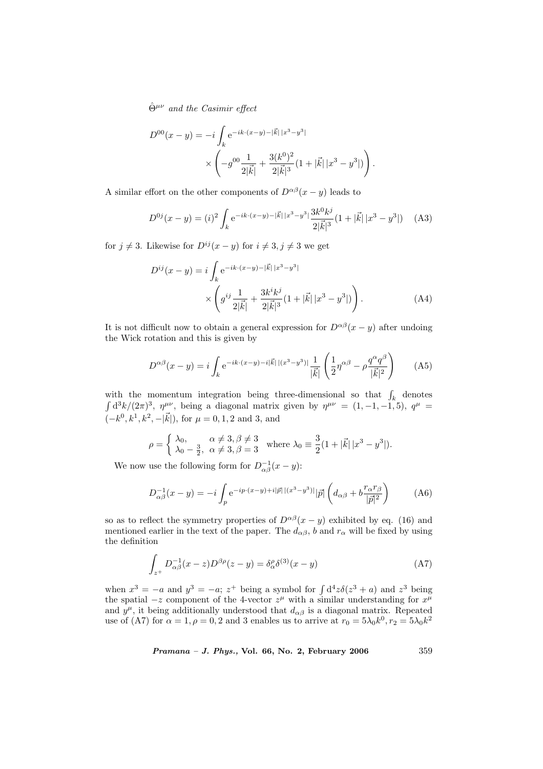$$
D^{00}(x - y) = -i \int_{k} e^{-ik \cdot (x - y) - |\vec{k}| |x^{3} - y^{3}|} \times \left( -g^{00} \frac{1}{2|\vec{k}|} + \frac{3(k^{0})^{2}}{2|\vec{k}|^{3}} (1 + |\vec{k}| |x^{3} - y^{3}|) \right).
$$

A similar effort on the other components of  $D^{\alpha\beta}(x-y)$  leads to

$$
D^{0j}(x-y) = (i)^2 \int_k e^{-ik \cdot (x-y) - |\vec{k}| |x^3 - y^3|} \frac{3k^0 k^j}{2|\vec{k}|^3} (1 + |\vec{k}| |x^3 - y^3|)
$$
 (A3)

for  $j \neq 3$ . Likewise for  $D^{ij}(x - y)$  for  $i \neq 3, j \neq 3$  we get

$$
D^{ij}(x - y) = i \int_{k} e^{-ik \cdot (x - y) - |\vec{k}| |x^{3} - y^{3}|}
$$

$$
\times \left( g^{ij} \frac{1}{2|\vec{k}|} + \frac{3k^{i}k^{j}}{2|\vec{k}|^{3}} (1 + |\vec{k}| |x^{3} - y^{3}|) \right).
$$
 (A4)

It is not difficult now to obtain a general expression for  $D^{\alpha\beta}(x-y)$  after undoing the Wick rotation and this is given by

$$
D^{\alpha\beta}(x-y) = i \int_{k} e^{-ik \cdot (x-y) - i|\vec{k}| |(x^3 - y^3)|} \frac{1}{|\vec{k}|} \left( \frac{1}{2} \eta^{\alpha\beta} - \rho \frac{q^{\alpha} q^{\beta}}{|\vec{k}|^2} \right)
$$
 (A5)

with the momentum integration being three-dimensional so that  $\int_k$  denotes  $d^3k/(2\pi)^3$ ,  $\eta^{\mu\nu}$ , being a diagonal matrix given by  $\eta^{\mu\nu} = (1,-1,-1,5)$ ,  $q^{\mu} =$  $(-k^0, k^1, k^2, -|\vec{k}|),$  for  $\mu = 0, 1, 2$  and 3, and

$$
\rho = \begin{cases} \lambda_0, & \alpha \neq 3, \beta \neq 3 \\ \lambda_0 - \frac{3}{2}, & \alpha \neq 3, \beta = 3 \end{cases} \text{ where } \lambda_0 \equiv \frac{3}{2} (1 + |\vec{k}| \, |x^3 - y^3|).
$$

We now use the following form for  $D_{\alpha\beta}^{-1}(x-y)$ :

$$
D_{\alpha\beta}^{-1}(x-y) = -i \int_{p} e^{-ip \cdot (x-y) + i|\vec{p}| |(x^3 - y^3)|} |\vec{p}| \left( d_{\alpha\beta} + b \frac{r_{\alpha}r_{\beta}}{|\vec{p}|^2} \right) \tag{A6}
$$

so as to reflect the symmetry properties of  $D^{\alpha\beta}(x-y)$  exhibited by eq. (16) and mentioned earlier in the text of the paper. The  $d_{\alpha\beta}$ , b and  $r_{\alpha}$  will be fixed by using the definition

$$
\int_{z^+} D_{\alpha\beta}^{-1}(x-z)D^{\beta\rho}(z-y) = \delta_\alpha^\rho \delta^{(3)}(x-y)
$$
\n(A7)

when  $x^3 = -a$  and  $y^3 = -a$ ;  $z^+$  being a symbol for  $\int d^4z \delta(z^3 + a)$  and  $z^3$  being the spatial  $-z$  component of the 4-vector  $z^{\mu}$  with a similar understanding for  $x^{\mu}$ and  $y^{\mu}$ , it being additionally understood that  $d_{\alpha\beta}$  is a diagonal matrix. Repeated use of (A7) for  $\alpha = 1, \rho = 0, 2$  and 3 enables us to arrive at  $r_0 = 5\lambda_0 k^0, r_2 = 5\lambda_0 k^2$